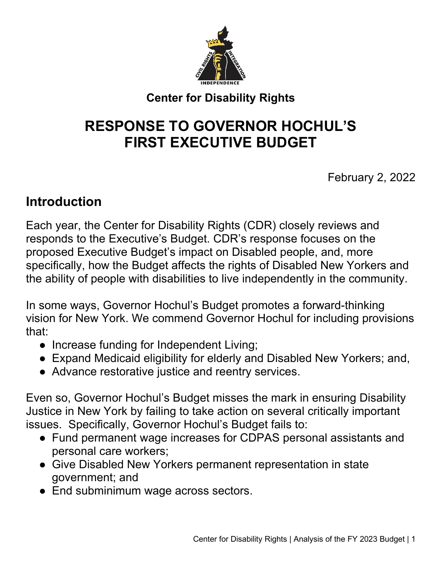

## **Center for Disability Rights**

# **RESPONSE TO GOVERNOR HOCHUL'S FIRST EXECUTIVE BUDGET**

February 2, 2022

# **Introduction**

Each year, the Center for Disability Rights (CDR) closely reviews and responds to the Executive's Budget. CDR's response focuses on the proposed Executive Budget's impact on Disabled people, and, more specifically, how the Budget affects the rights of Disabled New Yorkers and the ability of people with disabilities to live independently in the community.

In some ways, Governor Hochul's Budget promotes a forward-thinking vision for New York. We commend Governor Hochul for including provisions that:

- Increase funding for Independent Living;
- Expand Medicaid eligibility for elderly and Disabled New Yorkers; and,
- Advance restorative justice and reentry services.

Even so, Governor Hochul's Budget misses the mark in ensuring Disability Justice in New York by failing to take action on several critically important issues. Specifically, Governor Hochul's Budget fails to:

- Fund permanent wage increases for CDPAS personal assistants and personal care workers;
- Give Disabled New Yorkers permanent representation in state government; and
- End subminimum wage across sectors.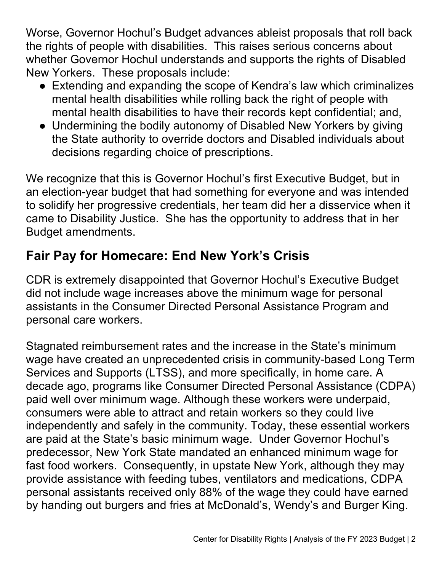Worse, Governor Hochul's Budget advances ableist proposals that roll back the rights of people with disabilities. This raises serious concerns about whether Governor Hochul understands and supports the rights of Disabled New Yorkers. These proposals include:

- Extending and expanding the scope of Kendra's law which criminalizes mental health disabilities while rolling back the right of people with mental health disabilities to have their records kept confidential; and,
- Undermining the bodily autonomy of Disabled New Yorkers by giving the State authority to override doctors and Disabled individuals about decisions regarding choice of prescriptions.

We recognize that this is Governor Hochul's first Executive Budget, but in an election-year budget that had something for everyone and was intended to solidify her progressive credentials, her team did her a disservice when it came to Disability Justice. She has the opportunity to address that in her Budget amendments.

# **Fair Pay for Homecare: End New York's Crisis**

CDR is extremely disappointed that Governor Hochul's Executive Budget did not include wage increases above the minimum wage for personal assistants in the Consumer Directed Personal Assistance Program and personal care workers.

Stagnated reimbursement rates and the increase in the State's minimum wage have created an unprecedented crisis in community-based Long Term Services and Supports (LTSS), and more specifically, in home care. A decade ago, programs like Consumer Directed Personal Assistance (CDPA) paid well over minimum wage. Although these workers were underpaid, consumers were able to attract and retain workers so they could live independently and safely in the community. Today, these essential workers are paid at the State's basic minimum wage. Under Governor Hochul's predecessor, New York State mandated an enhanced minimum wage for fast food workers. Consequently, in upstate New York, although they may provide assistance with feeding tubes, ventilators and medications, CDPA personal assistants received only 88% of the wage they could have earned by handing out burgers and fries at McDonald's, Wendy's and Burger King.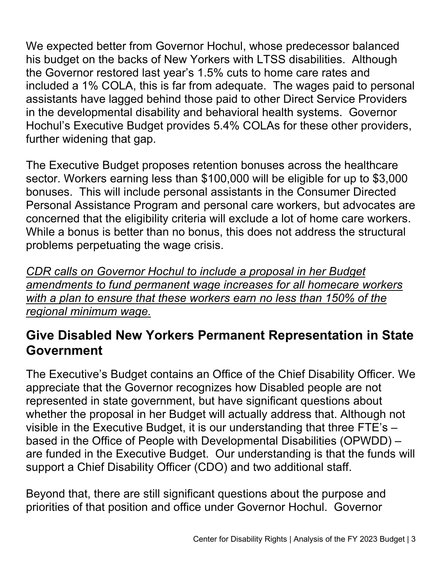We expected better from Governor Hochul, whose predecessor balanced his budget on the backs of New Yorkers with LTSS disabilities. Although the Governor restored last year's 1.5% cuts to home care rates and included a 1% COLA, this is far from adequate. The wages paid to personal assistants have lagged behind those paid to other Direct Service Providers in the developmental disability and behavioral health systems. Governor Hochul's Executive Budget provides 5.4% COLAs for these other providers, further widening that gap.

The Executive Budget proposes retention bonuses across the healthcare sector. Workers earning less than \$100,000 will be eligible for up to \$3,000 bonuses. This will include personal assistants in the Consumer Directed Personal Assistance Program and personal care workers, but advocates are concerned that the eligibility criteria will exclude a lot of home care workers. While a bonus is better than no bonus, this does not address the structural problems perpetuating the wage crisis.

*CDR calls on Governor Hochul to include a proposal in her Budget amendments to fund permanent wage increases for all homecare workers with a plan to ensure that these workers earn no less than 150% of the regional minimum wage.* 

# **Give Disabled New Yorkers Permanent Representation in State Government**

The Executive's Budget contains an Office of the Chief Disability Officer. We appreciate that the Governor recognizes how Disabled people are not represented in state government, but have significant questions about whether the proposal in her Budget will actually address that. Although not visible in the Executive Budget, it is our understanding that three FTE's – based in the Office of People with Developmental Disabilities (OPWDD) – are funded in the Executive Budget. Our understanding is that the funds will support a Chief Disability Officer (CDO) and two additional staff.

Beyond that, there are still significant questions about the purpose and priorities of that position and office under Governor Hochul. Governor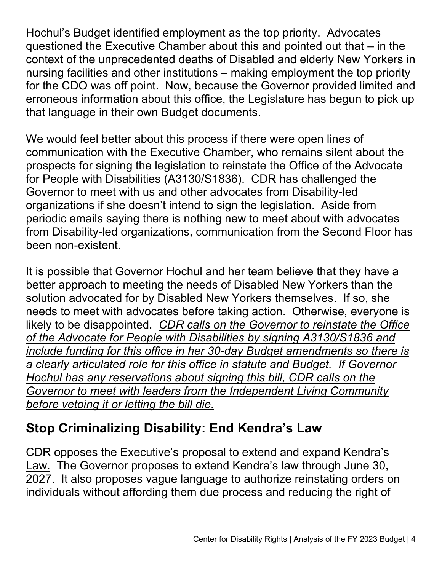Hochul's Budget identified employment as the top priority. Advocates questioned the Executive Chamber about this and pointed out that – in the context of the unprecedented deaths of Disabled and elderly New Yorkers in nursing facilities and other institutions – making employment the top priority for the CDO was off point. Now, because the Governor provided limited and erroneous information about this office, the Legislature has begun to pick up that language in their own Budget documents.

We would feel better about this process if there were open lines of communication with the Executive Chamber, who remains silent about the prospects for signing the legislation to reinstate the Office of the Advocate for People with Disabilities (A3130/S1836). CDR has challenged the Governor to meet with us and other advocates from Disability-led organizations if she doesn't intend to sign the legislation. Aside from periodic emails saying there is nothing new to meet about with advocates from Disability-led organizations, communication from the Second Floor has been non-existent.

It is possible that Governor Hochul and her team believe that they have a better approach to meeting the needs of Disabled New Yorkers than the solution advocated for by Disabled New Yorkers themselves. If so, she needs to meet with advocates before taking action. Otherwise, everyone is likely to be disappointed. *CDR calls on the Governor to reinstate the Office of the Advocate for People with Disabilities by signing A3130/S1836 and include funding for this office in her 30-day Budget amendments so there is a clearly articulated role for this office in statute and Budget. If Governor Hochul has any reservations about signing this bill, CDR calls on the Governor to meet with leaders from the Independent Living Community before vetoing it or letting the bill die.*

# **Stop Criminalizing Disability: End Kendra's Law**

CDR opposes the Executive's proposal to extend and expand Kendra's Law. The Governor proposes to extend Kendra's law through June 30, 2027. It also proposes vague language to authorize reinstating orders on individuals without affording them due process and reducing the right of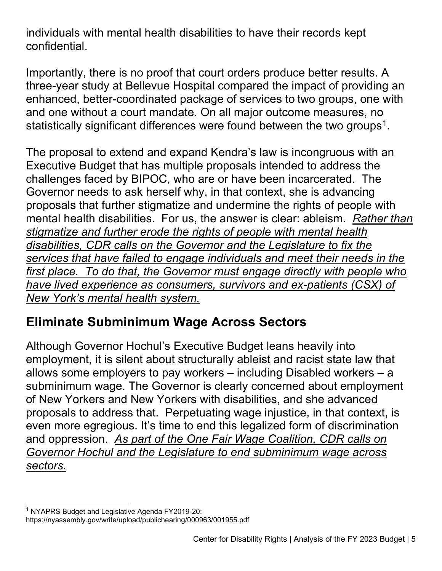individuals with mental health disabilities to have their records kept confidential.

Importantly, there is no proof that court orders produce better results. A three-year study at Bellevue Hospital compared the impact of providing an enhanced, better-coordinated package of services to two groups, one with and one without a court mandate. On all major outcome measures, no statistically significant differences were found between the two groups<sup>1</sup>.

The proposal to extend and expand Kendra's law is incongruous with an Executive Budget that has multiple proposals intended to address the challenges faced by BIPOC, who are or have been incarcerated. The Governor needs to ask herself why, in that context, she is advancing proposals that further stigmatize and undermine the rights of people with mental health disabilities. For us, the answer is clear: ableism. *Rather than stigmatize and further erode the rights of people with mental health disabilities, CDR calls on the Governor and the Legislature to fix the services that have failed to engage individuals and meet their needs in the first place. To do that, the Governor must engage directly with people who have lived experience as consumers, survivors and ex-patients (CSX) of New York's mental health system.*

# **Eliminate Subminimum Wage Across Sectors**

Although Governor Hochul's Executive Budget leans heavily into employment, it is silent about structurally ableist and racist state law that allows some employers to pay workers – including Disabled workers – a subminimum wage. The Governor is clearly concerned about employment of New Yorkers and New Yorkers with disabilities, and she advanced proposals to address that. Perpetuating wage injustice, in that context, is even more egregious. It's time to end this legalized form of discrimination and oppression. *As part of the One Fair Wage Coalition, CDR calls on Governor Hochul and the Legislature to end subminimum wage across sectors.* 

<span id="page-4-0"></span><sup>&</sup>lt;sup>1</sup> NYAPRS Budget and Legislative Agenda FY2019-20:

https://nyassembly.gov/write/upload/publichearing/000963/001955.pdf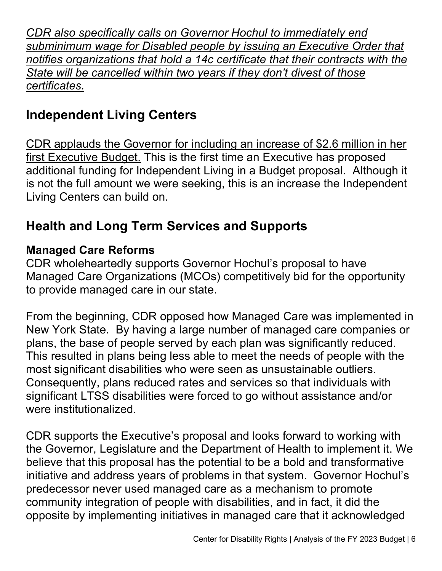*CDR also specifically calls on Governor Hochul to immediately end subminimum wage for Disabled people by issuing an Executive Order that notifies organizations that hold a 14c certificate that their contracts with the State will be cancelled within two years if they don't divest of those certificates.*

# **Independent Living Centers**

CDR applauds the Governor for including an increase of \$2.6 million in her first Executive Budget. This is the first time an Executive has proposed additional funding for Independent Living in a Budget proposal. Although it is not the full amount we were seeking, this is an increase the Independent Living Centers can build on.

# **Health and Long Term Services and Supports**

#### **Managed Care Reforms**

CDR wholeheartedly supports Governor Hochul's proposal to have Managed Care Organizations (MCOs) competitively bid for the opportunity to provide managed care in our state.

From the beginning, CDR opposed how Managed Care was implemented in New York State. By having a large number of managed care companies or plans, the base of people served by each plan was significantly reduced. This resulted in plans being less able to meet the needs of people with the most significant disabilities who were seen as unsustainable outliers. Consequently, plans reduced rates and services so that individuals with significant LTSS disabilities were forced to go without assistance and/or were institutionalized.

CDR supports the Executive's proposal and looks forward to working with the Governor, Legislature and the Department of Health to implement it. We believe that this proposal has the potential to be a bold and transformative initiative and address years of problems in that system. Governor Hochul's predecessor never used managed care as a mechanism to promote community integration of people with disabilities, and in fact, it did the opposite by implementing initiatives in managed care that it acknowledged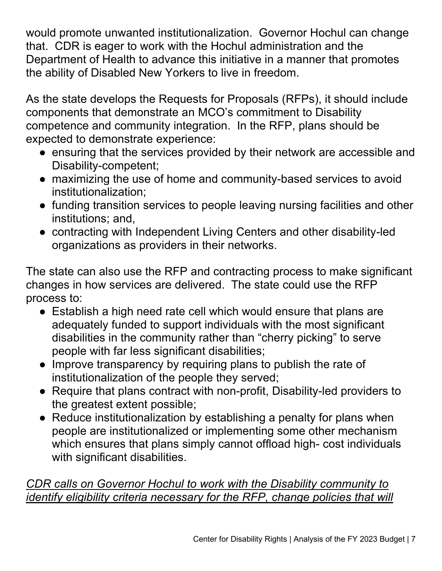would promote unwanted institutionalization. Governor Hochul can change that. CDR is eager to work with the Hochul administration and the Department of Health to advance this initiative in a manner that promotes the ability of Disabled New Yorkers to live in freedom.

As the state develops the Requests for Proposals (RFPs), it should include components that demonstrate an MCO's commitment to Disability competence and community integration. In the RFP, plans should be expected to demonstrate experience:

- ensuring that the services provided by their network are accessible and Disability-competent;
- maximizing the use of home and community-based services to avoid institutionalization;
- funding transition services to people leaving nursing facilities and other institutions; and,
- contracting with Independent Living Centers and other disability-led organizations as providers in their networks.

The state can also use the RFP and contracting process to make significant changes in how services are delivered. The state could use the RFP process to:

- Establish a high need rate cell which would ensure that plans are adequately funded to support individuals with the most significant disabilities in the community rather than "cherry picking" to serve people with far less significant disabilities;
- Improve transparency by requiring plans to publish the rate of institutionalization of the people they served;
- Require that plans contract with non-profit, Disability-led providers to the greatest extent possible;
- Reduce institutionalization by establishing a penalty for plans when people are institutionalized or implementing some other mechanism which ensures that plans simply cannot offload high- cost individuals with significant disabilities.

## *CDR calls on Governor Hochul to work with the Disability community to identify eligibility criteria necessary for the RFP, change policies that will*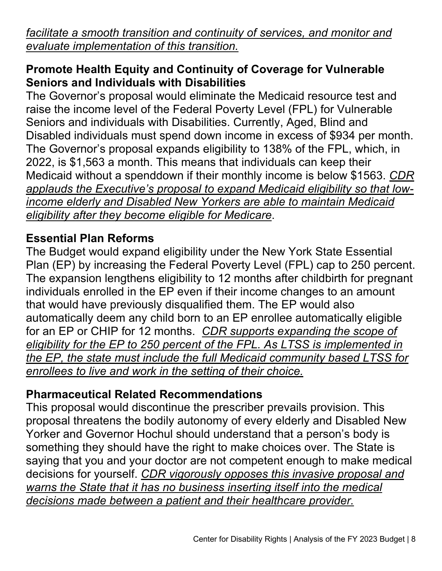*facilitate a smooth transition and continuity of services, and monitor and evaluate implementation of this transition.*

#### **Promote Health Equity and Continuity of Coverage for Vulnerable Seniors and Individuals with Disabilities**

The Governor's proposal would eliminate the Medicaid resource test and raise the income level of the Federal Poverty Level (FPL) for Vulnerable Seniors and individuals with Disabilities. Currently, Aged, Blind and Disabled individuals must spend down income in excess of \$934 per month. The Governor's proposal expands eligibility to 138% of the FPL, which, in 2022, is \$1,563 a month. This means that individuals can keep their Medicaid without a spenddown if their monthly income is below \$1563. *CDR applauds the Executive's proposal to expand Medicaid eligibility so that lowincome elderly and Disabled New Yorkers are able to maintain Medicaid eligibility after they become eligible for Medicare*.

## **Essential Plan Reforms**

The Budget would expand eligibility under the New York State Essential Plan (EP) by increasing the Federal Poverty Level (FPL) cap to 250 percent. The expansion lengthens eligibility to 12 months after childbirth for pregnant individuals enrolled in the EP even if their income changes to an amount that would have previously disqualified them. The EP would also automatically deem any child born to an EP enrollee automatically eligible for an EP or CHIP for 12 months. *CDR supports expanding the scope of eligibility for the EP to 250 percent of the FPL. As LTSS is implemented in the EP, the state must include the full Medicaid community based LTSS for enrollees to live and work in the setting of their choice.*

#### **Pharmaceutical Related Recommendations**

This proposal would discontinue the prescriber prevails provision. This proposal threatens the bodily autonomy of every elderly and Disabled New Yorker and Governor Hochul should understand that a person's body is something they should have the right to make choices over. The State is saying that you and your doctor are not competent enough to make medical decisions for yourself. *CDR vigorously opposes this invasive proposal and warns the State that it has no business inserting itself into the medical decisions made between a patient and their healthcare provider.*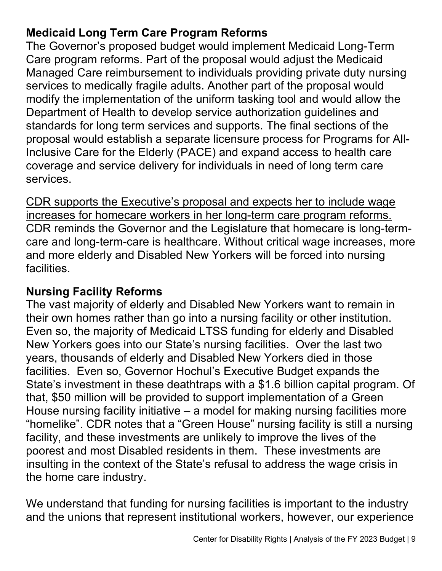## **Medicaid Long Term Care Program Reforms**

The Governor's proposed budget would implement Medicaid Long-Term Care program reforms. Part of the proposal would adjust the Medicaid Managed Care reimbursement to individuals providing private duty nursing services to medically fragile adults. Another part of the proposal would modify the implementation of the uniform tasking tool and would allow the Department of Health to develop service authorization guidelines and standards for long term services and supports. The final sections of the proposal would establish a separate licensure process for Programs for All-Inclusive Care for the Elderly (PACE) and expand access to health care coverage and service delivery for individuals in need of long term care services.

CDR supports the Executive's proposal and expects her to include wage increases for homecare workers in her long-term care program reforms. CDR reminds the Governor and the Legislature that homecare is long-termcare and long-term-care is healthcare. Without critical wage increases, more and more elderly and Disabled New Yorkers will be forced into nursing facilities.

## **Nursing Facility Reforms**

The vast majority of elderly and Disabled New Yorkers want to remain in their own homes rather than go into a nursing facility or other institution. Even so, the majority of Medicaid LTSS funding for elderly and Disabled New Yorkers goes into our State's nursing facilities. Over the last two years, thousands of elderly and Disabled New Yorkers died in those facilities. Even so, Governor Hochul's Executive Budget expands the State's investment in these deathtraps with a \$1.6 billion capital program. Of that, \$50 million will be provided to support implementation of a Green House nursing facility initiative – a model for making nursing facilities more "homelike". CDR notes that a "Green House" nursing facility is still a nursing facility, and these investments are unlikely to improve the lives of the poorest and most Disabled residents in them. These investments are insulting in the context of the State's refusal to address the wage crisis in the home care industry.

We understand that funding for nursing facilities is important to the industry and the unions that represent institutional workers, however, our experience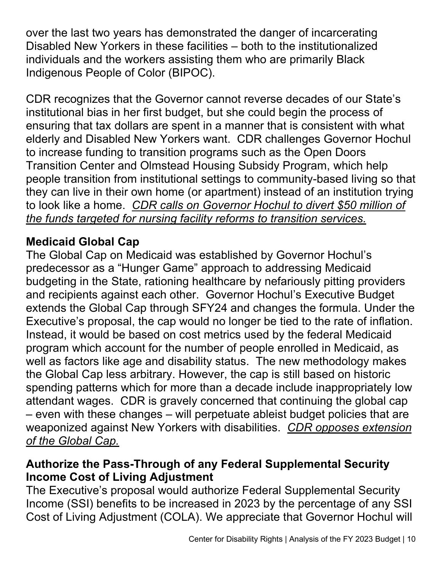over the last two years has demonstrated the danger of incarcerating Disabled New Yorkers in these facilities – both to the institutionalized individuals and the workers assisting them who are primarily Black Indigenous People of Color (BIPOC).

CDR recognizes that the Governor cannot reverse decades of our State's institutional bias in her first budget, but she could begin the process of ensuring that tax dollars are spent in a manner that is consistent with what elderly and Disabled New Yorkers want. CDR challenges Governor Hochul to increase funding to transition programs such as the Open Doors Transition Center and Olmstead Housing Subsidy Program, which help people transition from institutional settings to community-based living so that they can live in their own home (or apartment) instead of an institution trying to look like a home. *CDR calls on Governor Hochul to divert \$50 million of the funds targeted for nursing facility reforms to transition services.*

## **Medicaid Global Cap**

The Global Cap on Medicaid was established by Governor Hochul's predecessor as a "Hunger Game" approach to addressing Medicaid budgeting in the State, rationing healthcare by nefariously pitting providers and recipients against each other. Governor Hochul's Executive Budget extends the Global Cap through SFY24 and changes the formula. Under the Executive's proposal, the cap would no longer be tied to the rate of inflation. Instead, it would be based on cost metrics used by the federal Medicaid program which account for the number of people enrolled in Medicaid, as well as factors like age and disability status. The new methodology makes the Global Cap less arbitrary. However, the cap is still based on historic spending patterns which for more than a decade include inappropriately low attendant wages. CDR is gravely concerned that continuing the global cap – even with these changes – will perpetuate ableist budget policies that are weaponized against New Yorkers with disabilities. *CDR opposes extension of the Global Cap.*

#### **Authorize the Pass-Through of any Federal Supplemental Security Income Cost of Living Adjustment**

The Executive's proposal would authorize Federal Supplemental Security Income (SSI) benefits to be increased in 2023 by the percentage of any SSI Cost of Living Adjustment (COLA). We appreciate that Governor Hochul will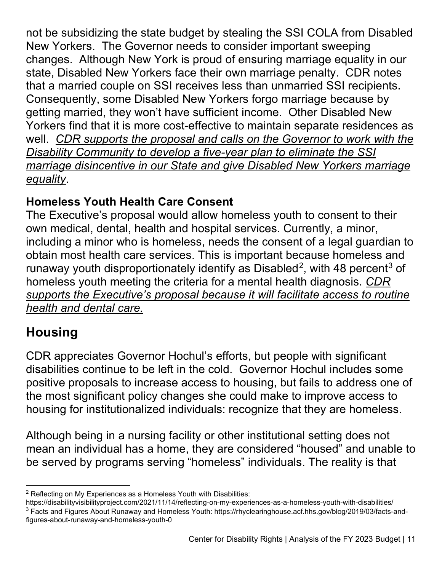not be subsidizing the state budget by stealing the SSI COLA from Disabled New Yorkers. The Governor needs to consider important sweeping changes. Although New York is proud of ensuring marriage equality in our state, Disabled New Yorkers face their own marriage penalty. CDR notes that a married couple on SSI receives less than unmarried SSI recipients. Consequently, some Disabled New Yorkers forgo marriage because by getting married, they won't have sufficient income. Other Disabled New Yorkers find that it is more cost-effective to maintain separate residences as well. *CDR supports the proposal and calls on the Governor to work with the Disability Community to develop a five-year plan to eliminate the SSI marriage disincentive in our State and give Disabled New Yorkers marriage equality*.

# **Homeless Youth Health Care Consent**

The Executive's proposal would allow homeless youth to consent to their own medical, dental, health and hospital services. Currently, a minor, including a minor who is homeless, needs the consent of a legal guardian to obtain most health care services. This is important because homeless and runaway youth disproportionately identify as Disabled<sup>[2](#page-10-0)</sup>, with 48 percent<sup>[3](#page-10-1)</sup> of homeless youth meeting the criteria for a mental health diagnosis. *CDR supports the Executive's proposal because it will facilitate access to routine health and dental care.*

# **Housing**

CDR appreciates Governor Hochul's efforts, but people with significant disabilities continue to be left in the cold. Governor Hochul includes some positive proposals to increase access to housing, but fails to address one of the most significant policy changes she could make to improve access to housing for institutionalized individuals: recognize that they are homeless.

Although being in a nursing facility or other institutional setting does not mean an individual has a home, they are considered "housed" and unable to be served by programs serving "homeless" individuals. The reality is that

<span id="page-10-0"></span> $2$  Reflecting on My Experiences as a Homeless Youth with Disabilities:

<span id="page-10-1"></span>https://disabilityvisibilityproject.com/2021/11/14/reflecting-on-my-experiences-as-a-homeless-youth-with-disabilities/ <sup>3</sup> Facts and Figures About Runaway and Homeless Youth: https://rhyclearinghouse.acf.hhs.gov/blog/2019/03/facts-andfigures-about-runaway-and-homeless-youth-0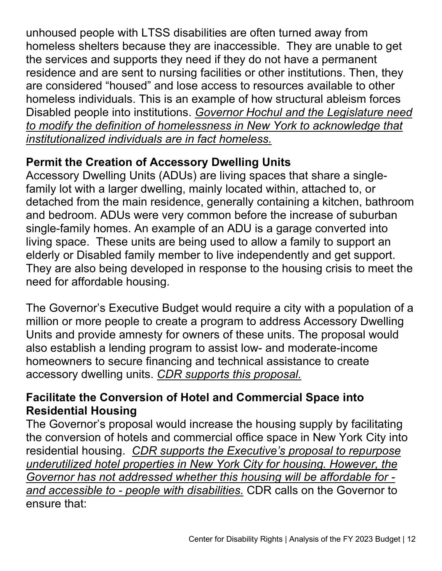unhoused people with LTSS disabilities are often turned away from homeless shelters because they are inaccessible. They are unable to get the services and supports they need if they do not have a permanent residence and are sent to nursing facilities or other institutions. Then, they are considered "housed" and lose access to resources available to other homeless individuals. This is an example of how structural ableism forces Disabled people into institutions. *Governor Hochul and the Legislature need to modify the definition of homelessness in New York to acknowledge that institutionalized individuals are in fact homeless.*

### **Permit the Creation of Accessory Dwelling Units**

Accessory Dwelling Units (ADUs) are living spaces that share a singlefamily lot with a larger dwelling, mainly located within, attached to, or detached from the main residence, generally containing a kitchen, bathroom and bedroom. ADUs were very common before the increase of suburban single-family homes. An example of an ADU is a garage converted into living space. These units are being used to allow a family to support an elderly or Disabled family member to live independently and get support. They are also being developed in response to the housing crisis to meet the need for affordable housing.

The Governor's Executive Budget would require a city with a population of a million or more people to create a program to address Accessory Dwelling Units and provide amnesty for owners of these units. The proposal would also establish a lending program to assist low- and moderate-income homeowners to secure financing and technical assistance to create accessory dwelling units. *CDR supports this proposal.* 

### **Facilitate the Conversion of Hotel and Commercial Space into Residential Housing**

The Governor's proposal would increase the housing supply by facilitating the conversion of hotels and commercial office space in New York City into residential housing. *CDR supports the Executive's proposal to repurpose underutilized hotel properties in New York City for housing. However, the Governor has not addressed whether this housing will be affordable for and accessible to - people with disabilities.* CDR calls on the Governor to ensure that: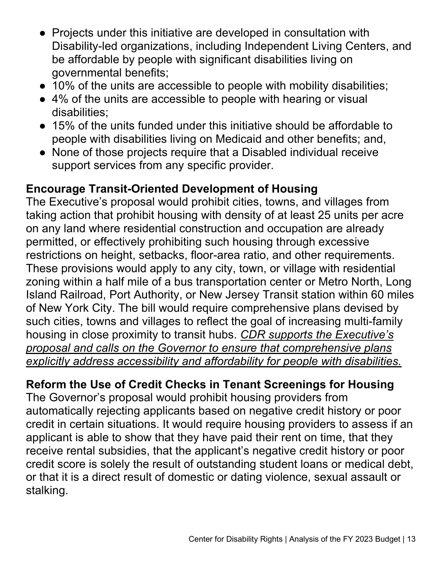- Projects under this initiative are developed in consultation with Disability-led organizations, including Independent Living Centers, and be affordable by people with significant disabilities living on governmental benefits;
- 10% of the units are accessible to people with mobility disabilities;
- 4% of the units are accessible to people with hearing or visual disabilities;
- 15% of the units funded under this initiative should be affordable to people with disabilities living on Medicaid and other benefits; and,
- None of those projects require that a Disabled individual receive support services from any specific provider.

### **Encourage Transit-Oriented Development of Housing**

The Executive's proposal would prohibit cities, towns, and villages from taking action that prohibit housing with density of at least 25 units per acre on any land where residential construction and occupation are already permitted, or effectively prohibiting such housing through excessive restrictions on height, setbacks, floor-area ratio, and other requirements. These provisions would apply to any city, town, or village with residential zoning within a half mile of a bus transportation center or Metro North, Long Island Railroad, Port Authority, or New Jersey Transit station within 60 miles of New York City. The bill would require comprehensive plans devised by such cities, towns and villages to reflect the goal of increasing multi-family housing in close proximity to transit hubs. *CDR supports the Executive's proposal and calls on the Governor to ensure that comprehensive plans explicitly address accessibility and affordability for people with disabilities.*

## **Reform the Use of Credit Checks in Tenant Screenings for Housing**

The Governor's proposal would prohibit housing providers from automatically rejecting applicants based on negative credit history or poor credit in certain situations. It would require housing providers to assess if an applicant is able to show that they have paid their rent on time, that they receive rental subsidies, that the applicant's negative credit history or poor credit score is solely the result of outstanding student loans or medical debt, or that it is a direct result of domestic or dating violence, sexual assault or stalking.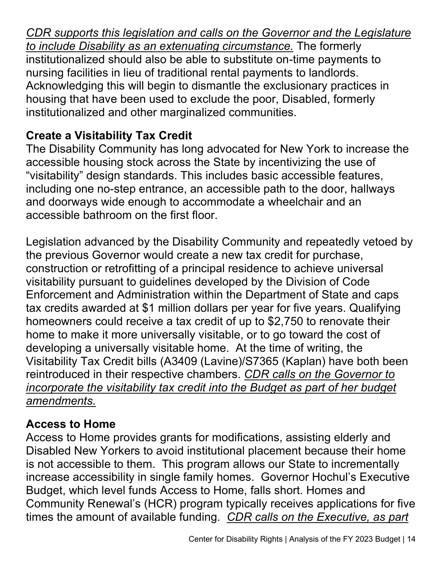*CDR supports this legislation and calls on the Governor and the Legislature to include Disability as an extenuating circumstance.* The formerly institutionalized should also be able to substitute on-time payments to nursing facilities in lieu of traditional rental payments to landlords. Acknowledging this will begin to dismantle the exclusionary practices in housing that have been used to exclude the poor, Disabled, formerly institutionalized and other marginalized communities.

# **Create a Visitability Tax Credit**

The Disability Community has long advocated for New York to increase the accessible housing stock across the State by incentivizing the use of "visitability" design standards. This includes basic accessible features, including one no-step entrance, an accessible path to the door, hallways and doorways wide enough to accommodate a wheelchair and an accessible bathroom on the first floor.

Legislation advanced by the Disability Community and repeatedly vetoed by the previous Governor would create a new tax credit for purchase, construction or retrofitting of a principal residence to achieve universal visitability pursuant to guidelines developed by the Division of Code Enforcement and Administration within the Department of State and caps tax credits awarded at \$1 million dollars per year for five years. Qualifying homeowners could receive a tax credit of up to \$2,750 to renovate their home to make it more universally visitable, or to go toward the cost of developing a universally visitable home. At the time of writing, the Visitability Tax Credit bills (A3409 (Lavine)/S7365 (Kaplan) have both been reintroduced in their respective chambers. *CDR calls on the Governor to incorporate the visitability tax credit into the Budget as part of her budget amendments.*

# **Access to Home**

Access to Home provides grants for modifications, assisting elderly and Disabled New Yorkers to avoid institutional placement because their home is not accessible to them. This program allows our State to incrementally increase accessibility in single family homes. Governor Hochul's Executive Budget, which level funds Access to Home, falls short. Homes and Community Renewal's (HCR) program typically receives applications for five times the amount of available funding. *CDR calls on the Executive, as part*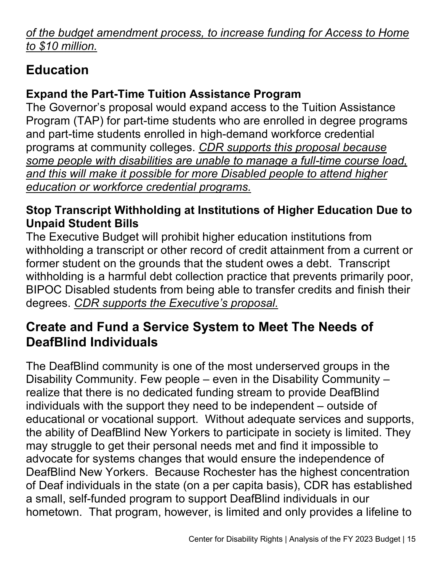*of the budget amendment process, to increase funding for Access to Home to \$10 million.*

# **Education**

# **Expand the Part-Time Tuition Assistance Program**

The Governor's proposal would expand access to the Tuition Assistance Program (TAP) for part-time students who are enrolled in degree programs and part-time students enrolled in high-demand workforce credential programs at community colleges. *CDR supports this proposal because some people with disabilities are unable to manage a full-time course load, and this will make it possible for more Disabled people to attend higher education or workforce credential programs.*

## **Stop Transcript Withholding at Institutions of Higher Education Due to Unpaid Student Bills**

The Executive Budget will prohibit higher education institutions from withholding a transcript or other record of credit attainment from a current or former student on the grounds that the student owes a debt. Transcript withholding is a harmful debt collection practice that prevents primarily poor, BIPOC Disabled students from being able to transfer credits and finish their degrees. *CDR supports the Executive's proposal.*

# **Create and Fund a Service System to Meet The Needs of DeafBlind Individuals**

The DeafBlind community is one of the most underserved groups in the Disability Community. Few people – even in the Disability Community – realize that there is no dedicated funding stream to provide DeafBlind individuals with the support they need to be independent – outside of educational or vocational support. Without adequate services and supports, the ability of DeafBlind New Yorkers to participate in society is limited. They may struggle to get their personal needs met and find it impossible to advocate for systems changes that would ensure the independence of DeafBlind New Yorkers. Because Rochester has the highest concentration of Deaf individuals in the state (on a per capita basis), CDR has established a small, self-funded program to support DeafBlind individuals in our hometown. That program, however, is limited and only provides a lifeline to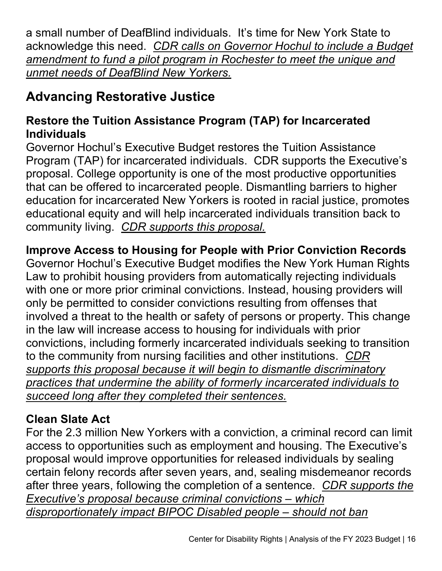a small number of DeafBlind individuals. It's time for New York State to acknowledge this need. *CDR calls on Governor Hochul to include a Budget amendment to fund a pilot program in Rochester to meet the unique and unmet needs of DeafBlind New Yorkers.*

# **Advancing Restorative Justice**

### **Restore the Tuition Assistance Program (TAP) for Incarcerated Individuals**

Governor Hochul's Executive Budget restores the Tuition Assistance Program (TAP) for incarcerated individuals. CDR supports the Executive's proposal. College opportunity is one of the most productive opportunities that can be offered to incarcerated people. Dismantling barriers to higher education for incarcerated New Yorkers is rooted in racial justice, promotes educational equity and will help incarcerated individuals transition back to community living. *CDR supports this proposal.*

# **Improve Access to Housing for People with Prior Conviction Records**

Governor Hochul's Executive Budget modifies the New York Human Rights Law to prohibit housing providers from automatically rejecting individuals with one or more prior criminal convictions. Instead, housing providers will only be permitted to consider convictions resulting from offenses that involved a threat to the health or safety of persons or property. This change in the law will increase access to housing for individuals with prior convictions, including formerly incarcerated individuals seeking to transition to the community from nursing facilities and other institutions. *CDR supports this proposal because it will begin to dismantle discriminatory practices that undermine the ability of formerly incarcerated individuals to succeed long after they completed their sentences.*

# **Clean Slate Act**

For the 2.3 million New Yorkers with a conviction, a criminal record can limit access to opportunities such as employment and housing. The Executive's proposal would improve opportunities for released individuals by sealing certain felony records after seven years, and, sealing misdemeanor records after three years, following the completion of a sentence. *CDR supports the Executive's proposal because criminal convictions – which disproportionately impact BIPOC Disabled people – should not ban*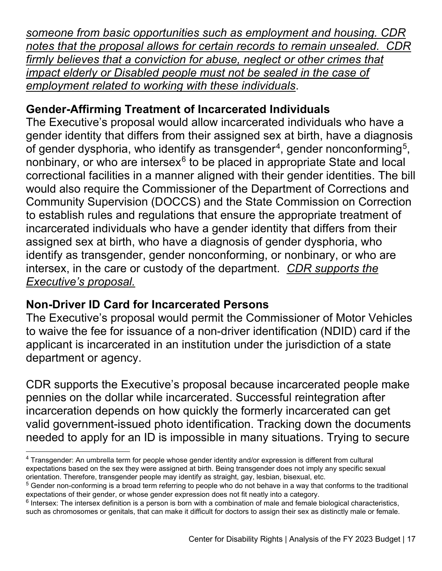*someone from basic opportunities such as employment and housing. CDR notes that the proposal allows for certain records to remain unsealed. CDR firmly believes that a conviction for abuse, neglect or other crimes that impact elderly or Disabled people must not be sealed in the case of employment related to working with these individuals*.

## **Gender-Affirming Treatment of Incarcerated Individuals**

The Executive's proposal would allow incarcerated individuals who have a gender identity that differs from their assigned sex at birth, have a diagnosis of gender dysphoria, who identify as transgender<sup>[4](#page-16-0)</sup>, gender nonconforming<sup>5</sup>, nonbinary, or who are intersex $6$  to be placed in appropriate State and local correctional facilities in a manner aligned with their gender identities. The bill would also require the Commissioner of the Department of Corrections and Community Supervision (DOCCS) and the State Commission on Correction to establish rules and regulations that ensure the appropriate treatment of incarcerated individuals who have a gender identity that differs from their assigned sex at birth, who have a diagnosis of gender dysphoria, who identify as transgender, gender nonconforming, or nonbinary, or who are intersex, in the care or custody of the department. *CDR supports the Executive's proposal.*

#### **Non-Driver ID Card for Incarcerated Persons**

The Executive's proposal would permit the Commissioner of Motor Vehicles to waive the fee for issuance of a non-driver identification (NDID) card if the applicant is incarcerated in an institution under the jurisdiction of a state department or agency.

CDR supports the Executive's proposal because incarcerated people make pennies on the dollar while incarcerated. Successful reintegration after incarceration depends on how quickly the formerly incarcerated can get valid government-issued photo identification. Tracking down the documents needed to apply for an ID is impossible in many situations. Trying to secure

<span id="page-16-0"></span><sup>&</sup>lt;sup>4</sup> Transgender: An umbrella term for people whose gender identity and/or expression is different from cultural expectations based on the sex they were assigned at birth. Being transgender does not imply any specific sexual orientation. Therefore, transgender people may identify as straight, gay, lesbian, bisexual, etc.

<span id="page-16-1"></span><sup>&</sup>lt;sup>5</sup> Gender non-conforming is a broad term referring to people who do not behave in a way that conforms to the traditional expectations of their gender, or whose gender expression does not fit neatly into a category.

<span id="page-16-2"></span> $6$  Intersex: The intersex definition is a person is born with a combination of male and female biological characteristics, such as chromosomes or genitals, that can make it difficult for doctors to assign their sex as distinctly male or female.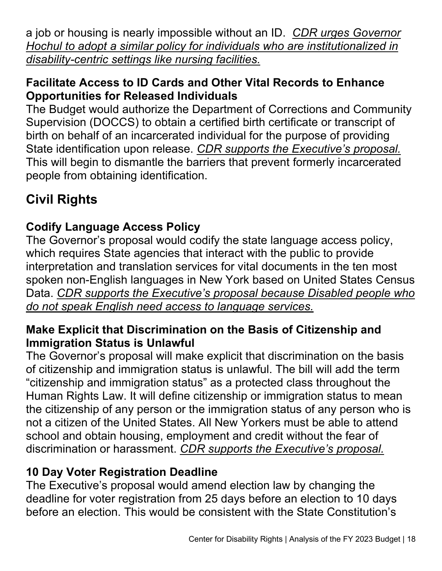a job or housing is nearly impossible without an ID. *CDR urges Governor Hochul to adopt a similar policy for individuals who are institutionalized in disability-centric settings like nursing facilities.*

### **Facilitate Access to ID Cards and Other Vital Records to Enhance Opportunities for Released Individuals**

The Budget would authorize the Department of Corrections and Community Supervision (DOCCS) to obtain a certified birth certificate or transcript of birth on behalf of an incarcerated individual for the purpose of providing State identification upon release. *CDR supports the Executive's proposal.* This will begin to dismantle the barriers that prevent formerly incarcerated people from obtaining identification.

# **Civil Rights**

# **Codify Language Access Policy**

The Governor's proposal would codify the state language access policy, which requires State agencies that interact with the public to provide interpretation and translation services for vital documents in the ten most spoken non-English languages in New York based on United States Census Data. *CDR supports the Executive's proposal because Disabled people who do not speak English need access to language services.* 

#### **Make Explicit that Discrimination on the Basis of Citizenship and Immigration Status is Unlawful**

The Governor's proposal will make explicit that discrimination on the basis of citizenship and immigration status is unlawful. The bill will add the term "citizenship and immigration status" as a protected class throughout the Human Rights Law. It will define citizenship or immigration status to mean the citizenship of any person or the immigration status of any person who is not a citizen of the United States. All New Yorkers must be able to attend school and obtain housing, employment and credit without the fear of discrimination or harassment. *CDR supports the Executive's proposal.*

## **10 Day Voter Registration Deadline**

The Executive's proposal would amend election law by changing the deadline for voter registration from 25 days before an election to 10 days before an election. This would be consistent with the State Constitution's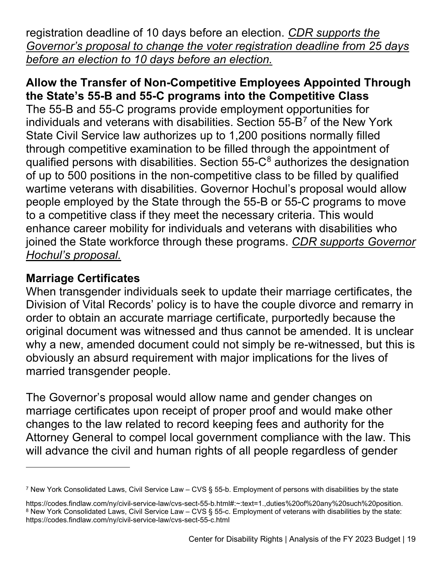registration deadline of 10 days before an election. *CDR supports the Governor's proposal to change the voter registration deadline from 25 days before an election to 10 days before an election.*

#### **Allow the Transfer of Non-Competitive Employees Appointed Through the State's 55-B and 55-C programs into the Competitive Class**

The 55-B and 55-C programs provide employment opportunities for individuals and veterans with disabilities. Section  $55-\frac{B^7}{B}$  $55-\frac{B^7}{B}$  $55-\frac{B^7}{B}$  of the New York State Civil Service law authorizes up to 1,200 positions normally filled through competitive examination to be filled through the appointment of qualified persons with disabilities. Section  $55-C<sup>8</sup>$  $55-C<sup>8</sup>$  $55-C<sup>8</sup>$  authorizes the designation of up to 500 positions in the non-competitive class to be filled by qualified wartime veterans with disabilities. Governor Hochul's proposal would allow people employed by the State through the 55-B or 55-C programs to move to a competitive class if they meet the necessary criteria. This would enhance career mobility for individuals and veterans with disabilities who joined the State workforce through these programs. *CDR supports Governor Hochul's proposal.*

#### **Marriage Certificates**

When transgender individuals seek to update their marriage certificates, the Division of Vital Records' policy is to have the couple divorce and remarry in order to obtain an accurate marriage certificate, purportedly because the original document was witnessed and thus cannot be amended. It is unclear why a new, amended document could not simply be re-witnessed, but this is obviously an absurd requirement with major implications for the lives of married transgender people.

The Governor's proposal would allow name and gender changes on marriage certificates upon receipt of proper proof and would make other changes to the law related to record keeping fees and authority for the Attorney General to compel local government compliance with the law. This will advance the civil and human rights of all people regardless of gender

<span id="page-18-0"></span><sup>7</sup> New York Consolidated Laws, Civil Service Law – CVS § 55-b. Employment of persons with disabilities by the state

<span id="page-18-1"></span>https://codes.findlaw.com/ny/civil-service-law/cvs-sect-55-b.html#:~:text=1.,duties%20of%20any%20such%20position. 8 New York Consolidated Laws, Civil Service Law – CVS § 55-c. Employment of veterans with disabilities by the state: https://codes.findlaw.com/ny/civil-service-law/cvs-sect-55-c.html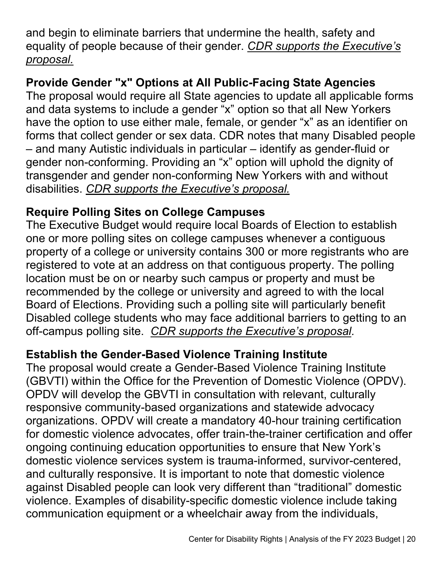and begin to eliminate barriers that undermine the health, safety and equality of people because of their gender. *CDR supports the Executive's proposal.*

## **Provide Gender "x" Options at All Public-Facing State Agencies**

The proposal would require all State agencies to update all applicable forms and data systems to include a gender "x" option so that all New Yorkers have the option to use either male, female, or gender "x" as an identifier on forms that collect gender or sex data. CDR notes that many Disabled people – and many Autistic individuals in particular – identify as gender-fluid or gender non-conforming. Providing an "x" option will uphold the dignity of transgender and gender non-conforming New Yorkers with and without disabilities. *CDR supports the Executive's proposal.*

### **Require Polling Sites on College Campuses**

The Executive Budget would require local Boards of Election to establish one or more polling sites on college campuses whenever a contiguous property of a college or university contains 300 or more registrants who are registered to vote at an address on that contiguous property. The polling location must be on or nearby such campus or property and must be recommended by the college or university and agreed to with the local Board of Elections. Providing such a polling site will particularly benefit Disabled college students who may face additional barriers to getting to an off-campus polling site. *CDR supports the Executive's proposal.*

#### **Establish the Gender-Based Violence Training Institute**

The proposal would create a Gender-Based Violence Training Institute (GBVTI) within the Office for the Prevention of Domestic Violence (OPDV). OPDV will develop the GBVTI in consultation with relevant, culturally responsive community-based organizations and statewide advocacy organizations. OPDV will create a mandatory 40-hour training certification for domestic violence advocates, offer train-the-trainer certification and offer ongoing continuing education opportunities to ensure that New York's domestic violence services system is trauma-informed, survivor-centered, and culturally responsive. It is important to note that domestic violence against Disabled people can look very different than "traditional" domestic violence. Examples of disability-specific domestic violence include taking communication equipment or a wheelchair away from the individuals,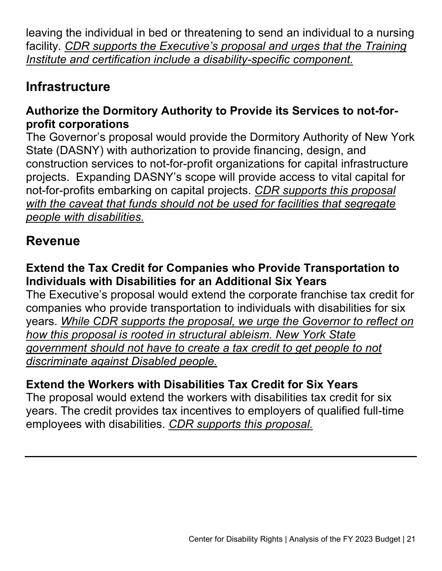leaving the individual in bed or threatening to send an individual to a nursing facility. *CDR supports the Executive's proposal and urges that the Training Institute and certification include a disability-specific component.*

# **Infrastructure**

### **Authorize the Dormitory Authority to Provide its Services to not-forprofit corporations**

The Governor's proposal would provide the Dormitory Authority of New York State (DASNY) with authorization to provide financing, design, and construction services to not-for-profit organizations for capital infrastructure projects. Expanding DASNY's scope will provide access to vital capital for not-for-profits embarking on capital projects. *CDR supports this proposal with the caveat that funds should not be used for facilities that segregate people with disabilities.*

# **Revenue**

#### **Extend the Tax Credit for Companies who Provide Transportation to Individuals with Disabilities for an Additional Six Years**

The Executive's proposal would extend the corporate franchise tax credit for companies who provide transportation to individuals with disabilities for six years. *While CDR supports the proposal, we urge the Governor to reflect on how this proposal is rooted in structural ableism. New York State government should not have to create a tax credit to get people to not discriminate against Disabled people.*

## **Extend the Workers with Disabilities Tax Credit for Six Years**

The proposal would extend the workers with disabilities tax credit for six years. The credit provides tax incentives to employers of qualified full-time employees with disabilities. *CDR supports this proposal.*